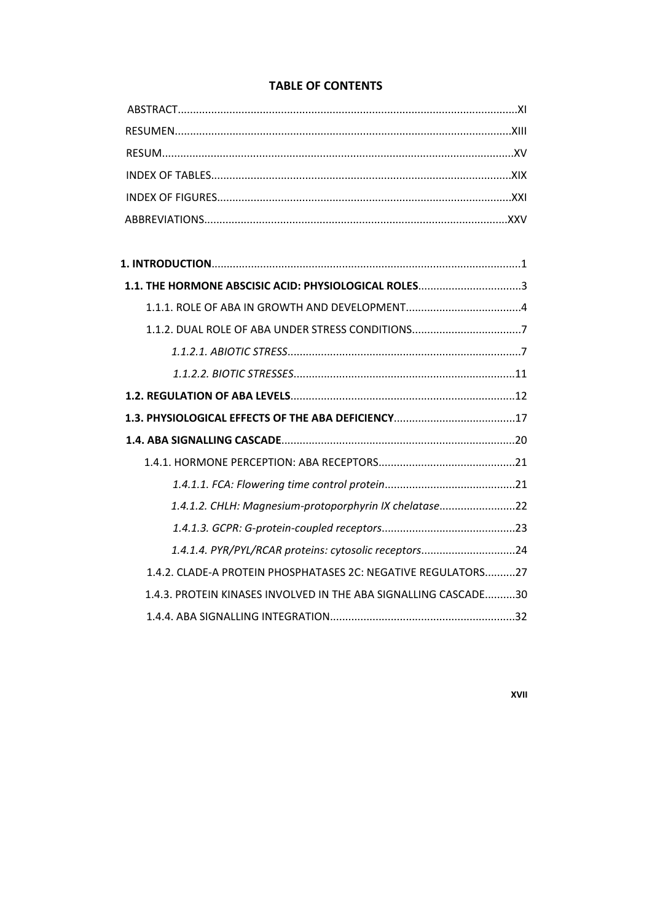# **TABLE OF CONTENTS**

| 1.1. THE HORMONE ABSCISIC ACID: PHYSIOLOGICAL ROLES3            |  |
|-----------------------------------------------------------------|--|
|                                                                 |  |
| 1.1.2. DUAL ROLE OF ABA UNDER STRESS CONDITIONS7                |  |
|                                                                 |  |
|                                                                 |  |
|                                                                 |  |
|                                                                 |  |
|                                                                 |  |
|                                                                 |  |
|                                                                 |  |
| 1.4.1.2. CHLH: Magnesium-protoporphyrin IX chelatase22          |  |
|                                                                 |  |
| 1.4.1.4. PYR/PYL/RCAR proteins: cytosolic receptors24           |  |
| 1.4.2. CLADE-A PROTEIN PHOSPHATASES 2C: NEGATIVE REGULATORS27   |  |
| 1.4.3. PROTEIN KINASES INVOLVED IN THE ABA SIGNALLING CASCADE30 |  |
|                                                                 |  |

**XVII**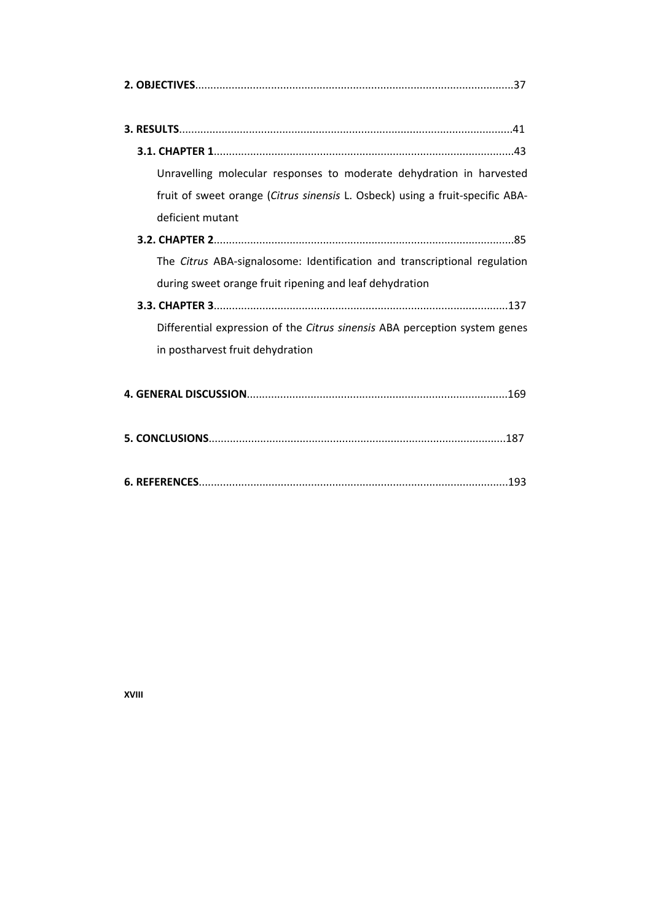| Unravelling molecular responses to moderate dehydration in harvested          |
|-------------------------------------------------------------------------------|
| fruit of sweet orange (Citrus sinensis L. Osbeck) using a fruit-specific ABA- |
| deficient mutant                                                              |
|                                                                               |
| The Citrus ABA-signalosome: Identification and transcriptional regulation     |
| during sweet orange fruit ripening and leaf dehydration                       |
|                                                                               |
| Differential expression of the Citrus sinensis ABA perception system genes    |
| in postharvest fruit dehydration                                              |
|                                                                               |
|                                                                               |
|                                                                               |

**XVIII**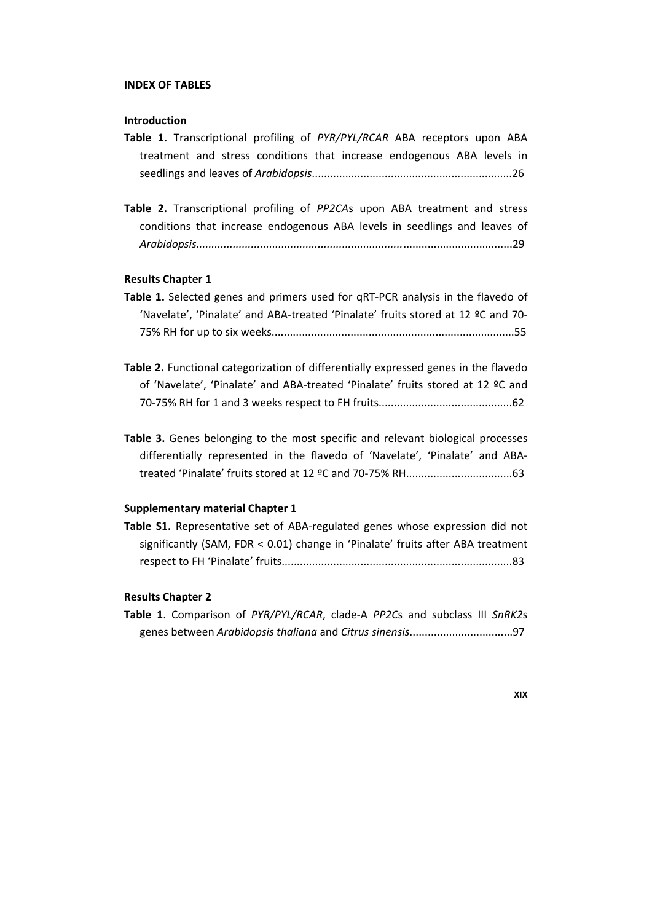### **INDEX OF TABLES**

# **Introduction**

|  |  |  |  | Table 1. Transcriptional profiling of PYR/PYL/RCAR ABA receptors upon ABA |  |  |  |
|--|--|--|--|---------------------------------------------------------------------------|--|--|--|
|  |  |  |  | treatment and stress conditions that increase endogenous ABA levels in    |  |  |  |
|  |  |  |  |                                                                           |  |  |  |

**Table 2.** Transcriptional profiling of *PP2CA*s upon ABA treatment and stress conditions that increase endogenous ABA levels in seedlings and leaves of *Arabidopsis....................................................................*....................................29

#### **Results Chapter 1**

| Table 1. Selected genes and primers used for qRT-PCR analysis in the flavedo of  |  |
|----------------------------------------------------------------------------------|--|
| 'Navelate', 'Pinalate' and ABA-treated 'Pinalate' fruits stored at 12 ºC and 70- |  |
|                                                                                  |  |

- **Table 2.** Functional categorization of differentially expressed genes in the flavedo of 'Navelate', 'Pinalate' and ABA‐treated 'Pinalate' fruits stored at 12 ºC and 70‐75% RH for 1 and 3 weeks respect to FH fruits............................................62
- **Table 3.** Genes belonging to the most specific and relevant biological processes differentially represented in the flavedo of 'Navelate', 'Pinalate' and ABA‐ treated 'Pinalate' fruits stored at 12 ºC and 70‐75% RH...................................63

## **Supplementary material Chapter 1**

**Table S1.** Representative set of ABA‐regulated genes whose expression did not significantly (SAM, FDR < 0.01) change in 'Pinalate' fruits after ABA treatment respect to FH 'Pinalate' fruits............................................................................83

# **Results Chapter 2**

**Table 1**. Comparison of *PYR/PYL/RCAR*, clade‐A *PP2C*s and subclass III *SnRK2*s genes between *Arabidopsis thaliana* and *Citrus sinensis*..................................97

**XIX**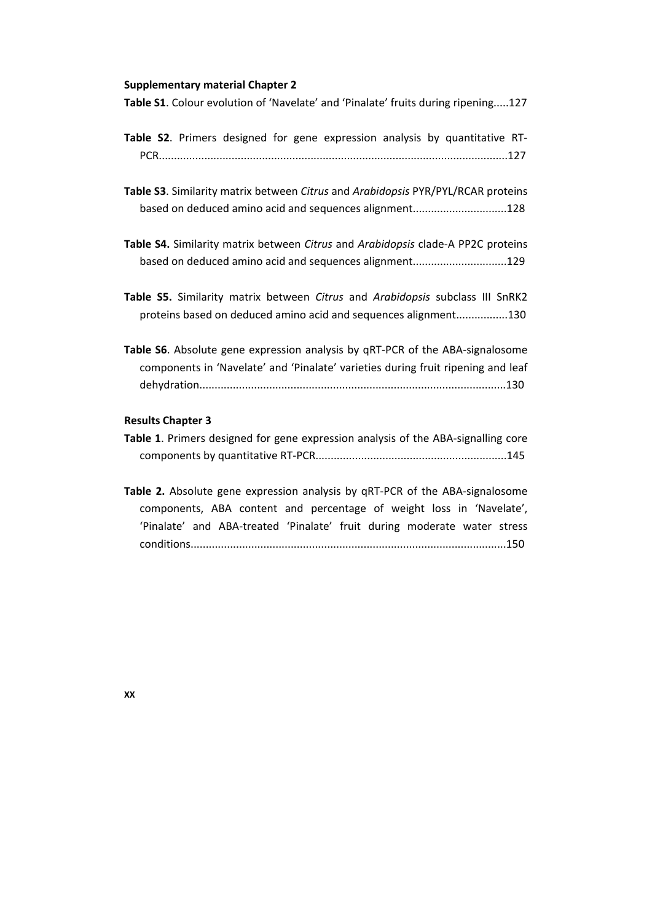#### **Supplementary material Chapter 2**

**Table S1**. Colour evolution of 'Navelate' and 'Pinalate' fruits during ripening.....127

- **Table S2**. Primers designed for gene expression analysis by quantitative RT‐ PCR...................................................................................................................127
- **Table S3**. Similarity matrix between *Citrus* and *Arabidopsis* PYR/PYL/RCAR proteins based on deduced amino acid and sequences alignment...............................128
- **Table S4.** Similarity matrix between *Citrus* and *Arabidopsis* clade‐A PP2C proteins based on deduced amino acid and sequences alignment...............................129
- **Table S5.** Similarity matrix between *Citrus* and *Arabidopsis* subclass III SnRK2 proteins based on deduced amino acid and sequences alignment.................130
- **Table S6**. Absolute gene expression analysis by qRT‐PCR of the ABA‐signalosome components in 'Navelate' and 'Pinalate' varieties during fruit ripening and leaf dehydration.....................................................................................................130

# **Results Chapter 3**

|  |  |  | Table 1. Primers designed for gene expression analysis of the ABA-signalling core |  |
|--|--|--|-----------------------------------------------------------------------------------|--|
|  |  |  |                                                                                   |  |

**Table 2.** Absolute gene expression analysis by qRT‐PCR of the ABA‐signalosome components, ABA content and percentage of weight loss in 'Navelate', 'Pinalate' and ABA‐treated 'Pinalate' fruit during moderate water stress conditions........................................................................................................150

**XX**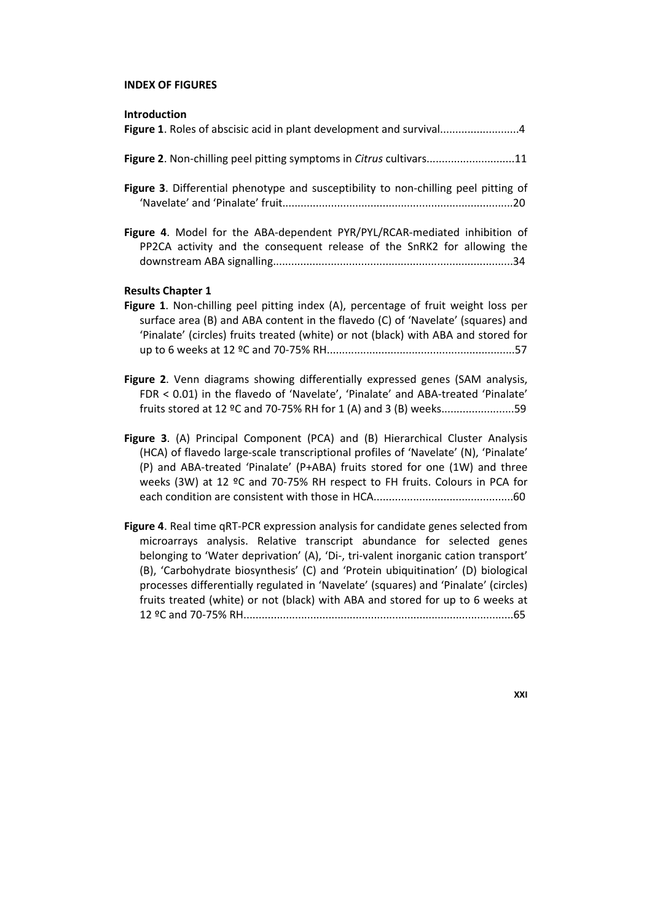# **INDEX OF FIGURES**

| Introduction                                                                                                                                                                                                                                                                                                                                                                                                                 |
|------------------------------------------------------------------------------------------------------------------------------------------------------------------------------------------------------------------------------------------------------------------------------------------------------------------------------------------------------------------------------------------------------------------------------|
| Figure 1. Roles of abscisic acid in plant development and survival4                                                                                                                                                                                                                                                                                                                                                          |
| Figure 2. Non-chilling peel pitting symptoms in Citrus cultivars11                                                                                                                                                                                                                                                                                                                                                           |
| Figure 3. Differential phenotype and susceptibility to non-chilling peel pitting of                                                                                                                                                                                                                                                                                                                                          |
| Figure 4. Model for the ABA-dependent PYR/PYL/RCAR-mediated inhibition of<br>PP2CA activity and the consequent release of the SnRK2 for allowing the                                                                                                                                                                                                                                                                         |
| <b>Results Chapter 1</b><br>Figure 1. Non-chilling peel pitting index (A), percentage of fruit weight loss per<br>surface area (B) and ABA content in the flavedo (C) of 'Navelate' (squares) and<br>'Pinalate' (circles) fruits treated (white) or not (black) with ABA and stored for                                                                                                                                      |
| Figure 2. Venn diagrams showing differentially expressed genes (SAM analysis,<br>FDR < 0.01) in the flavedo of 'Navelate', 'Pinalate' and ABA-treated 'Pinalate'<br>fruits stored at 12 °C and 70-75% RH for 1 (A) and 3 (B) weeks59                                                                                                                                                                                         |
| Figure 3. (A) Principal Component (PCA) and (B) Hierarchical Cluster Analysis<br>(HCA) of flavedo large-scale transcriptional profiles of 'Navelate' (N), 'Pinalate'<br>(P) and ABA-treated 'Pinalate' (P+ABA) fruits stored for one (1W) and three<br>weeks (3W) at 12 °C and 70-75% RH respect to FH fruits. Colours in PCA for                                                                                            |
| Figure 4. Real time qRT-PCR expression analysis for candidate genes selected from<br>microarrays analysis. Relative transcript abundance for selected genes<br>belonging to 'Water deprivation' (A), 'Di-, tri-valent inorganic cation transport'<br>(B), 'Carbohydrate biosynthesis' (C) and 'Protein ubiquitination' (D) biological<br>processes differentially regulated in 'Navelate' (squares) and 'Pinalate' (circles) |

fruits treated (white) or not (black) with ABA and stored for up to 6 weeks at 12 ºC and 70‐75% RH.........................................................................................65

**XXI**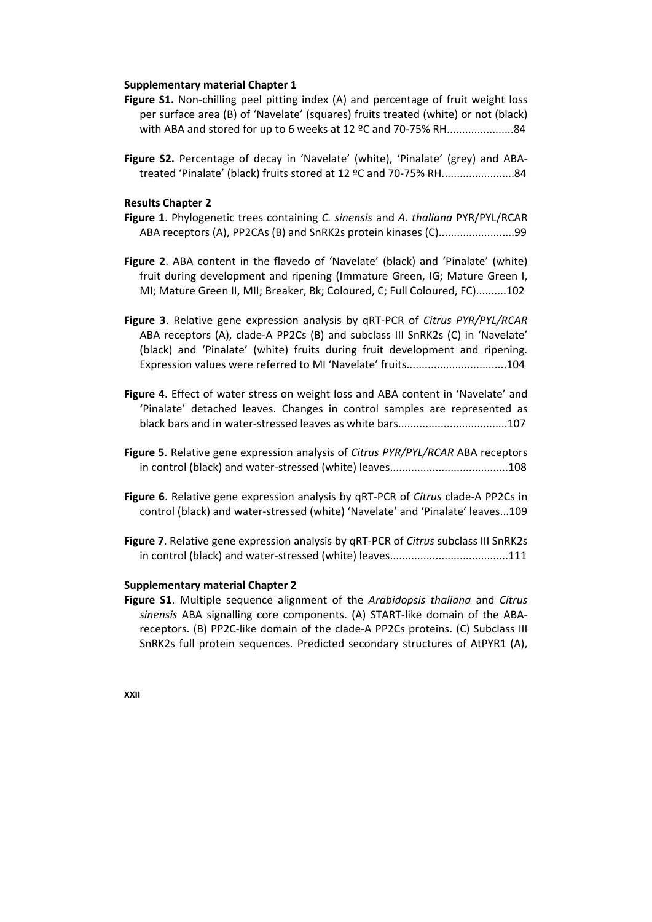### **Supplementary material Chapter 1**

- **Figure S1.** Non-chilling peel pitting index (A) and percentage of fruit weight loss per surface area (B) of 'Navelate' (squares) fruits treated (white) or not (black) with ABA and stored for up to 6 weeks at 12 ºC and 70‐75% RH......................84
- **Figure S2.** Percentage of decay in 'Navelate' (white), 'Pinalate' (grey) and ABA‐ treated 'Pinalate' (black) fruits stored at 12 ºC and 70‐75% RH........................84

## **Results Chapter 2**

- **Figure 1**. Phylogenetic trees containing *C. sinensis* and *A. thaliana* PYR/PYL/RCAR ABA receptors (A), PP2CAs (B) and SnRK2s protein kinases (C).........................99
- **Figure 2**. ABA content in the flavedo of 'Navelate' (black) and 'Pinalate' (white) fruit during development and ripening (Immature Green, IG; Mature Green I, MI; Mature Green II, MII; Breaker, Bk; Coloured, C; Full Coloured, FC)..........102
- **Figure 3**. Relative gene expression analysis by qRT‐PCR of *Citrus PYR/PYL/RCAR* ABA receptors (A), clade‐A PP2Cs (B) and subclass III SnRK2s (C) in 'Navelate' (black) and 'Pinalate' (white) fruits during fruit development and ripening. Expression values were referred to MI 'Navelate' fruits.................................104
- **Figure 4**. Effect of water stress on weight loss and ABA content in 'Navelate' and 'Pinalate' detached leaves. Changes in control samples are represented as black bars and in water‐stressed leaves as white bars....................................107
- **Figure 5**. Relative gene expression analysis of *Citrus PYR/PYL/RCAR* ABA receptors in control (black) and water‐stressed (white) leaves.......................................108
- **Figure 6**. Relative gene expression analysis by qRT‐PCR of *Citrus* clade‐A PP2Cs in control (black) and water‐stressed (white) 'Navelate' and 'Pinalate' leaves...109
- **Figure 7**. Relative gene expression analysis by qRT‐PCR of *Citrus* subclass III SnRK2s in control (black) and water‐stressed (white) leaves.......................................111

## **Supplementary material Chapter 2**

**Figure S1**. Multiple sequence alignment of the *Arabidopsis thaliana* and *Citrus sinensis* ABA signalling core components. (A) START‐like domain of the ABA‐ receptors. (B) PP2C‐like domain of the clade‐A PP2Cs proteins. (C) Subclass III SnRK2s full protein sequences*.* Predicted secondary structures of AtPYR1 (A),

**XXII**